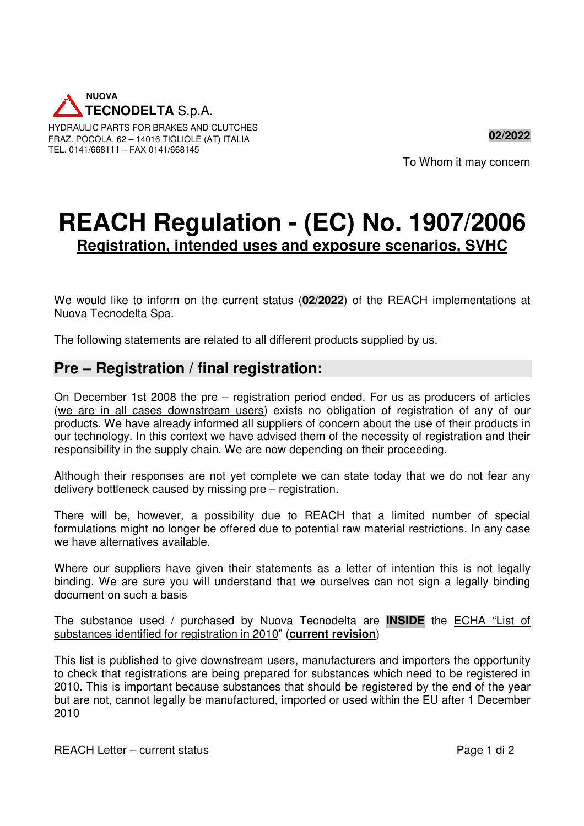

HYDRAULIC PARTS FOR BRAKES AND CLUTCHES FRAZ. POCOLA, 62 – 14016 TIGLIOLE (AT) ITALIA TEL. 0141/668111 – FAX 0141/668145

To Whom it may concern

**02/2022** 

# **REACH Regulation - (EC) No. 1907/2006 Registration, intended uses and exposure scenarios, SVHC**

We would like to inform on the current status (**02/2022**) of the REACH implementations at Nuova Tecnodelta Spa.

The following statements are related to all different products supplied by us.

#### **Pre – Registration / final registration:**

On December 1st 2008 the pre – registration period ended. For us as producers of articles (we are in all cases downstream users) exists no obligation of registration of any of our products. We have already informed all suppliers of concern about the use of their products in our technology. In this context we have advised them of the necessity of registration and their responsibility in the supply chain. We are now depending on their proceeding.

Although their responses are not yet complete we can state today that we do not fear any delivery bottleneck caused by missing pre – registration.

There will be, however, a possibility due to REACH that a limited number of special formulations might no longer be offered due to potential raw material restrictions. In any case we have alternatives available.

Where our suppliers have given their statements as a letter of intention this is not legally binding. We are sure you will understand that we ourselves can not sign a legally binding document on such a basis

The substance used / purchased by Nuova Tecnodelta are **INSIDE** the ECHA "List of substances identified for registration in 2010" (**current revision**)

This list is published to give downstream users, manufacturers and importers the opportunity to check that registrations are being prepared for substances which need to be registered in 2010. This is important because substances that should be registered by the end of the year but are not, cannot legally be manufactured, imported or used within the EU after 1 December 2010